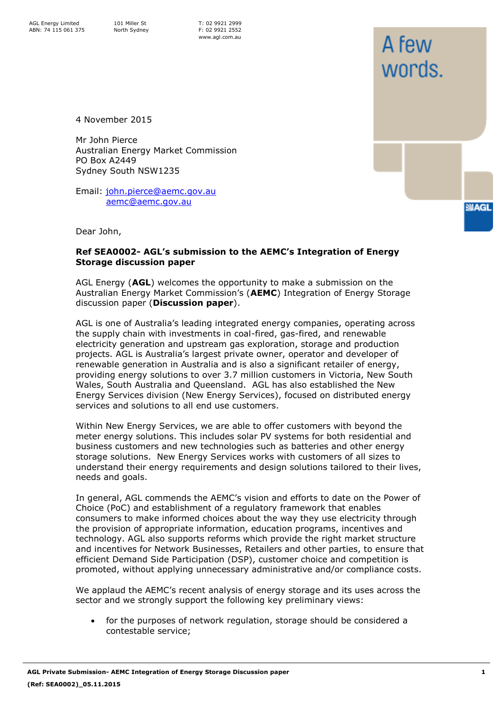A few

words.

**SIAGL** 

4 November 2015

Mr John Pierce Australian Energy Market Commission PO Box A2449 Sydney South NSW1235

Email: [john.pierce@aemc.gov.au](mailto:john.pierce@aemc.gov.au) [aemc@aemc.gov.au](mailto:aemc@aemc.gov.au)

Dear John,

#### **Ref SEA0002- AGL's submission to the AEMC's Integration of Energy Storage discussion paper**

AGL Energy (**AGL**) welcomes the opportunity to make a submission on the Australian Energy Market Commission's (**AEMC**) Integration of Energy Storage discussion paper (**Discussion paper**).

AGL is one of Australia's leading integrated energy companies, operating across the supply chain with investments in coal-fired, gas-fired, and renewable electricity generation and upstream gas exploration, storage and production projects. AGL is Australia's largest private owner, operator and developer of renewable generation in Australia and is also a significant retailer of energy, providing energy solutions to over 3.7 million customers in Victoria, New South Wales, South Australia and Queensland. AGL has also established the New Energy Services division (New Energy Services), focused on distributed energy services and solutions to all end use customers.

Within New Energy Services, we are able to offer customers with beyond the meter energy solutions. This includes solar PV systems for both residential and business customers and new technologies such as batteries and other energy storage solutions. New Energy Services works with customers of all sizes to understand their energy requirements and design solutions tailored to their lives, needs and goals.

In general, AGL commends the AEMC's vision and efforts to date on the Power of Choice (PoC) and establishment of a regulatory framework that enables consumers to make informed choices about the way they use electricity through the provision of appropriate information, education programs, incentives and technology. AGL also supports reforms which provide the right market structure and incentives for Network Businesses, Retailers and other parties, to ensure that efficient Demand Side Participation (DSP), customer choice and competition is promoted, without applying unnecessary administrative and/or compliance costs.

We applaud the AEMC's recent analysis of energy storage and its uses across the sector and we strongly support the following key preliminary views:

• for the purposes of network regulation, storage should be considered a contestable service;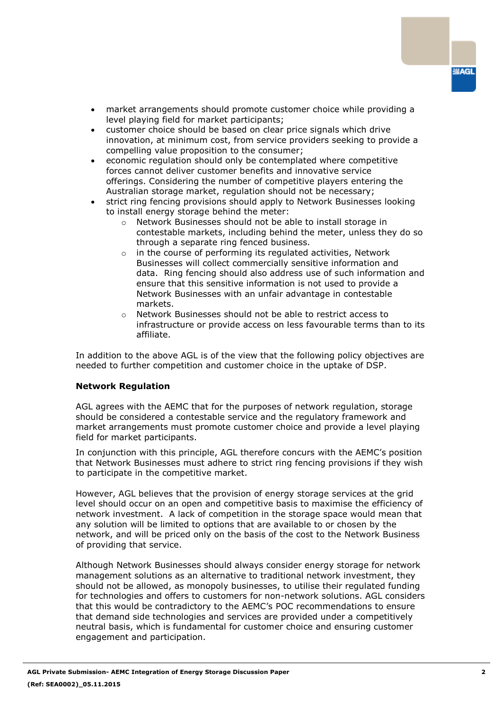

- market arrangements should promote customer choice while providing a level playing field for market participants;
- customer choice should be based on clear price signals which drive innovation, at minimum cost, from service providers seeking to provide a compelling value proposition to the consumer;
- economic regulation should only be contemplated where competitive forces cannot deliver customer benefits and innovative service offerings. Considering the number of competitive players entering the Australian storage market, regulation should not be necessary;
- strict ring fencing provisions should apply to Network Businesses looking to install energy storage behind the meter:
	- o Network Businesses should not be able to install storage in contestable markets, including behind the meter, unless they do so through a separate ring fenced business.
	- o in the course of performing its regulated activities, Network Businesses will collect commercially sensitive information and data. Ring fencing should also address use of such information and ensure that this sensitive information is not used to provide a Network Businesses with an unfair advantage in contestable markets.
	- o Network Businesses should not be able to restrict access to infrastructure or provide access on less favourable terms than to its affiliate.

In addition to the above AGL is of the view that the following policy objectives are needed to further competition and customer choice in the uptake of DSP.

### **Network Regulation**

AGL agrees with the AEMC that for the purposes of network regulation, storage should be considered a contestable service and the regulatory framework and market arrangements must promote customer choice and provide a level playing field for market participants.

In conjunction with this principle, AGL therefore concurs with the AEMC's position that Network Businesses must adhere to strict ring fencing provisions if they wish to participate in the competitive market.

However, AGL believes that the provision of energy storage services at the grid level should occur on an open and competitive basis to maximise the efficiency of network investment. A lack of competition in the storage space would mean that any solution will be limited to options that are available to or chosen by the network, and will be priced only on the basis of the cost to the Network Business of providing that service.

Although Network Businesses should always consider energy storage for network management solutions as an alternative to traditional network investment, they should not be allowed, as monopoly businesses, to utilise their regulated funding for technologies and offers to customers for non-network solutions. AGL considers that this would be contradictory to the AEMC's POC recommendations to ensure that demand side technologies and services are provided under a competitively neutral basis, which is fundamental for customer choice and ensuring customer engagement and participation.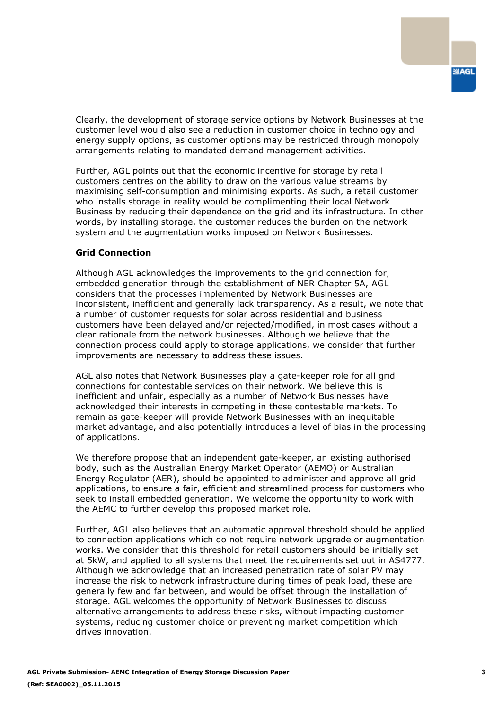Clearly, the development of storage service options by Network Businesses at the customer level would also see a reduction in customer choice in technology and energy supply options, as customer options may be restricted through monopoly arrangements relating to mandated demand management activities.

Further, AGL points out that the economic incentive for storage by retail customers centres on the ability to draw on the various value streams by maximising self-consumption and minimising exports. As such, a retail customer who installs storage in reality would be complimenting their local Network Business by reducing their dependence on the grid and its infrastructure. In other words, by installing storage, the customer reduces the burden on the network system and the augmentation works imposed on Network Businesses.

## **Grid Connection**

Although AGL acknowledges the improvements to the grid connection for, embedded generation through the establishment of NER Chapter 5A, AGL considers that the processes implemented by Network Businesses are inconsistent, inefficient and generally lack transparency. As a result, we note that a number of customer requests for solar across residential and business customers have been delayed and/or rejected/modified, in most cases without a clear rationale from the network businesses. Although we believe that the connection process could apply to storage applications, we consider that further improvements are necessary to address these issues.

AGL also notes that Network Businesses play a gate-keeper role for all grid connections for contestable services on their network. We believe this is inefficient and unfair, especially as a number of Network Businesses have acknowledged their interests in competing in these contestable markets. To remain as gate-keeper will provide Network Businesses with an inequitable market advantage, and also potentially introduces a level of bias in the processing of applications.

We therefore propose that an independent gate-keeper, an existing authorised body, such as the Australian Energy Market Operator (AEMO) or Australian Energy Regulator (AER), should be appointed to administer and approve all grid applications, to ensure a fair, efficient and streamlined process for customers who seek to install embedded generation. We welcome the opportunity to work with the AEMC to further develop this proposed market role.

Further, AGL also believes that an automatic approval threshold should be applied to connection applications which do not require network upgrade or augmentation works. We consider that this threshold for retail customers should be initially set at 5kW, and applied to all systems that meet the requirements set out in AS4777. Although we acknowledge that an increased penetration rate of solar PV may increase the risk to network infrastructure during times of peak load, these are generally few and far between, and would be offset through the installation of storage. AGL welcomes the opportunity of Network Businesses to discuss alternative arrangements to address these risks, without impacting customer systems, reducing customer choice or preventing market competition which drives innovation.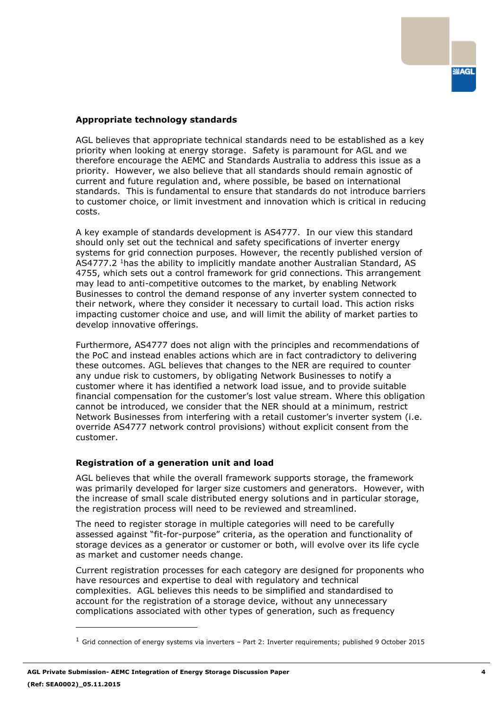### **Appropriate technology standards**

AGL believes that appropriate technical standards need to be established as a key priority when looking at energy storage. Safety is paramount for AGL and we therefore encourage the AEMC and Standards Australia to address this issue as a priority. However, we also believe that all standards should remain agnostic of current and future regulation and, where possible, be based on international standards. This is fundamental to ensure that standards do not introduce barriers to customer choice, or limit investment and innovation which is critical in reducing costs.

A key example of standards development is AS4777. In our view this standard should only set out the technical and safety specifications of inverter energy systems for grid connection purposes. However, the recently published version of AS4777.2 <sup>1</sup>has the ability to implicitly mandate another Australian Standard, AS 4755, which sets out a control framework for grid connections. This arrangement may lead to anti-competitive outcomes to the market, by enabling Network Businesses to control the demand response of any inverter system connected to their network, where they consider it necessary to curtail load. This action risks impacting customer choice and use, and will limit the ability of market parties to develop innovative offerings.

Furthermore, AS4777 does not align with the principles and recommendations of the PoC and instead enables actions which are in fact contradictory to delivering these outcomes. AGL believes that changes to the NER are required to counter any undue risk to customers, by obligating Network Businesses to notify a customer where it has identified a network load issue, and to provide suitable financial compensation for the customer's lost value stream. Where this obligation cannot be introduced, we consider that the NER should at a minimum, restrict Network Businesses from interfering with a retail customer's inverter system (i.e. override AS4777 network control provisions) without explicit consent from the customer.

### **Registration of a generation unit and load**

AGL believes that while the overall framework supports storage, the framework was primarily developed for larger size customers and generators. However, with the increase of small scale distributed energy solutions and in particular storage, the registration process will need to be reviewed and streamlined.

The need to register storage in multiple categories will need to be carefully assessed against "fit-for-purpose" criteria, as the operation and functionality of storage devices as a generator or customer or both, will evolve over its life cycle as market and customer needs change.

Current registration processes for each category are designed for proponents who have resources and expertise to deal with regulatory and technical complexities. AGL believes this needs to be simplified and standardised to account for the registration of a storage device, without any unnecessary complications associated with other types of generation, such as frequency

ł

 $<sup>1</sup>$  Grid connection of energy systems via inverters – Part 2: Inverter requirements; published 9 October 2015</sup>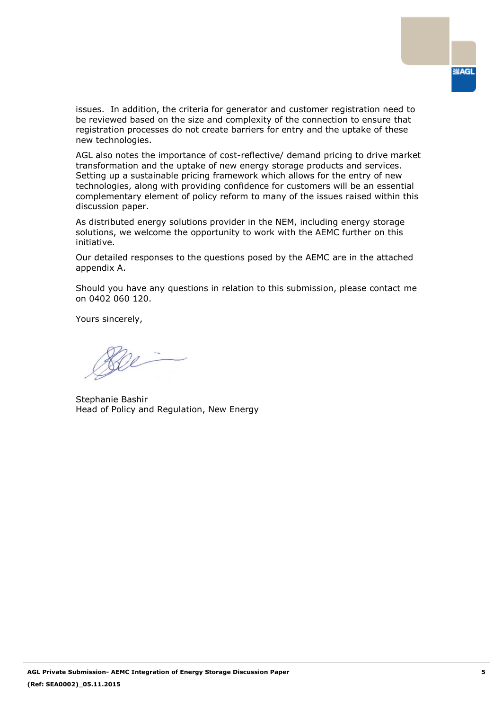

issues. In addition, the criteria for generator and customer registration need to be reviewed based on the size and complexity of the connection to ensure that registration processes do not create barriers for entry and the uptake of these new technologies.

AGL also notes the importance of cost-reflective/ demand pricing to drive market transformation and the uptake of new energy storage products and services. Setting up a sustainable pricing framework which allows for the entry of new technologies, along with providing confidence for customers will be an essential complementary element of policy reform to many of the issues raised within this discussion paper.

As distributed energy solutions provider in the NEM, including energy storage solutions, we welcome the opportunity to work with the AEMC further on this initiative.

Our detailed responses to the questions posed by the AEMC are in the attached appendix A.

Should you have any questions in relation to this submission, please contact me on 0402 060 120.

Yours sincerely,

Bee

Stephanie Bashir Head of Policy and Regulation, New Energy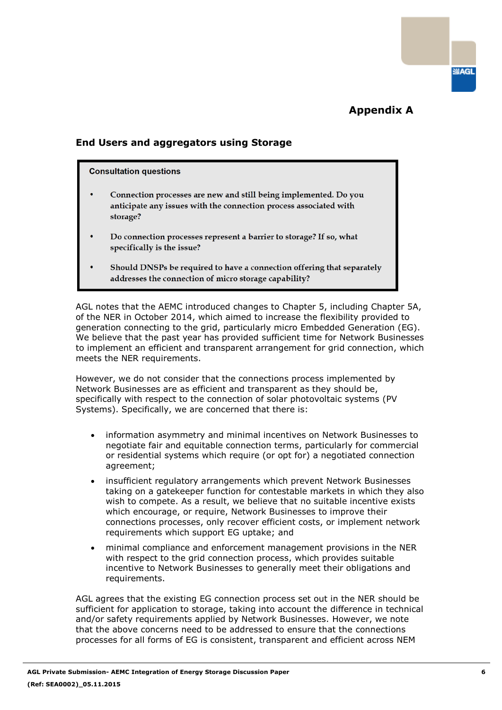**SIAGL** 

# **Appendix A**

# **End Users and aggregators using Storage**

#### **Consultation questions**

- Connection processes are new and still being implemented. Do you anticipate any issues with the connection process associated with storage?
- Do connection processes represent a barrier to storage? If so, what specifically is the issue?
- Should DNSPs be required to have a connection offering that separately addresses the connection of micro storage capability?

AGL notes that the AEMC introduced changes to Chapter 5, including Chapter 5A, of the NER in October 2014, which aimed to increase the flexibility provided to generation connecting to the grid, particularly micro Embedded Generation (EG). We believe that the past year has provided sufficient time for Network Businesses to implement an efficient and transparent arrangement for grid connection, which meets the NER requirements.

However, we do not consider that the connections process implemented by Network Businesses are as efficient and transparent as they should be, specifically with respect to the connection of solar photovoltaic systems (PV Systems). Specifically, we are concerned that there is:

- information asymmetry and minimal incentives on Network Businesses to negotiate fair and equitable connection terms, particularly for commercial or residential systems which require (or opt for) a negotiated connection agreement;
- insufficient regulatory arrangements which prevent Network Businesses taking on a gatekeeper function for contestable markets in which they also wish to compete. As a result, we believe that no suitable incentive exists which encourage, or require, Network Businesses to improve their connections processes, only recover efficient costs, or implement network requirements which support EG uptake; and
- minimal compliance and enforcement management provisions in the NER with respect to the grid connection process, which provides suitable incentive to Network Businesses to generally meet their obligations and requirements.

AGL agrees that the existing EG connection process set out in the NER should be sufficient for application to storage, taking into account the difference in technical and/or safety requirements applied by Network Businesses. However, we note that the above concerns need to be addressed to ensure that the connections processes for all forms of EG is consistent, transparent and efficient across NEM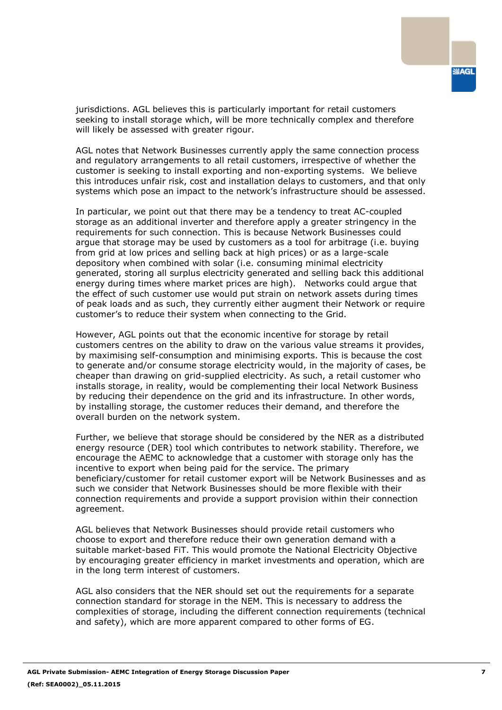

jurisdictions. AGL believes this is particularly important for retail customers seeking to install storage which, will be more technically complex and therefore will likely be assessed with greater rigour.

AGL notes that Network Businesses currently apply the same connection process and regulatory arrangements to all retail customers, irrespective of whether the customer is seeking to install exporting and non-exporting systems. We believe this introduces unfair risk, cost and installation delays to customers, and that only systems which pose an impact to the network's infrastructure should be assessed.

In particular, we point out that there may be a tendency to treat AC-coupled storage as an additional inverter and therefore apply a greater stringency in the requirements for such connection. This is because Network Businesses could argue that storage may be used by customers as a tool for arbitrage (i.e. buying from grid at low prices and selling back at high prices) or as a large-scale depository when combined with solar (i.e. consuming minimal electricity generated, storing all surplus electricity generated and selling back this additional energy during times where market prices are high). Networks could argue that the effect of such customer use would put strain on network assets during times of peak loads and as such, they currently either augment their Network or require customer's to reduce their system when connecting to the Grid.

However, AGL points out that the economic incentive for storage by retail customers centres on the ability to draw on the various value streams it provides, by maximising self-consumption and minimising exports. This is because the cost to generate and/or consume storage electricity would, in the majority of cases, be cheaper than drawing on grid-supplied electricity. As such, a retail customer who installs storage, in reality, would be complementing their local Network Business by reducing their dependence on the grid and its infrastructure. In other words, by installing storage, the customer reduces their demand, and therefore the overall burden on the network system.

Further, we believe that storage should be considered by the NER as a distributed energy resource (DER) tool which contributes to network stability. Therefore, we encourage the AEMC to acknowledge that a customer with storage only has the incentive to export when being paid for the service. The primary beneficiary/customer for retail customer export will be Network Businesses and as such we consider that Network Businesses should be more flexible with their connection requirements and provide a support provision within their connection agreement.

AGL believes that Network Businesses should provide retail customers who choose to export and therefore reduce their own generation demand with a suitable market-based FiT. This would promote the National Electricity Objective by encouraging greater efficiency in market investments and operation, which are in the long term interest of customers.

AGL also considers that the NER should set out the requirements for a separate connection standard for storage in the NEM. This is necessary to address the complexities of storage, including the different connection requirements (technical and safety), which are more apparent compared to other forms of EG.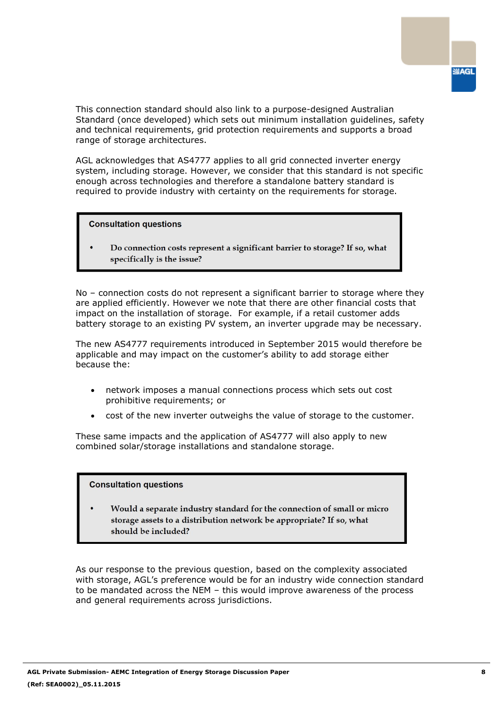

This connection standard should also link to a purpose-designed Australian Standard (once developed) which sets out minimum installation guidelines, safety and technical requirements, grid protection requirements and supports a broad range of storage architectures.

AGL acknowledges that AS4777 applies to all grid connected inverter energy system, including storage. However, we consider that this standard is not specific enough across technologies and therefore a standalone battery standard is required to provide industry with certainty on the requirements for storage.

**Consultation questions** 

Do connection costs represent a significant barrier to storage? If so, what specifically is the issue?

No – connection costs do not represent a significant barrier to storage where they are applied efficiently. However we note that there are other financial costs that impact on the installation of storage. For example, if a retail customer adds battery storage to an existing PV system, an inverter upgrade may be necessary.

The new AS4777 requirements introduced in September 2015 would therefore be applicable and may impact on the customer's ability to add storage either because the:

- network imposes a manual connections process which sets out cost prohibitive requirements; or
- cost of the new inverter outweighs the value of storage to the customer.

These same impacts and the application of AS4777 will also apply to new combined solar/storage installations and standalone storage.

### **Consultation questions**

Would a separate industry standard for the connection of small or micro storage assets to a distribution network be appropriate? If so, what should be included?

As our response to the previous question, based on the complexity associated with storage, AGL's preference would be for an industry wide connection standard to be mandated across the NEM – this would improve awareness of the process and general requirements across jurisdictions.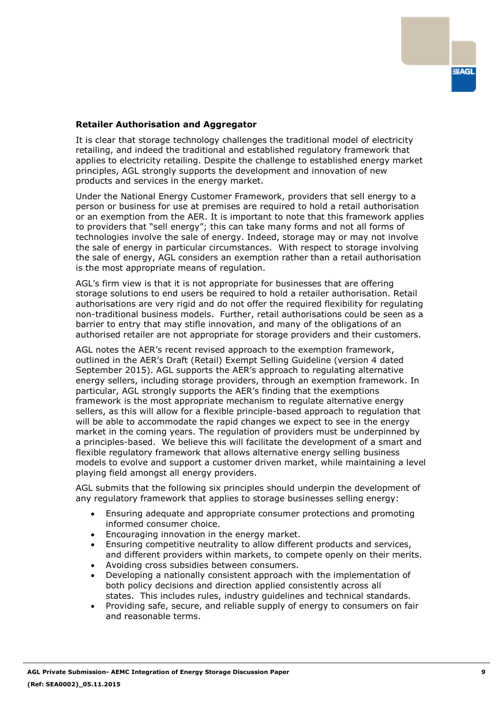### **Retailer Authorisation and Aggregator**

It is clear that storage technology challenges the traditional model of electricity retailing, and indeed the traditional and established regulatory framework that applies to electricity retailing. Despite the challenge to established energy market principles, AGL strongly supports the development and innovation of new products and services in the energy market.

Under the National Energy Customer Framework, providers that sell energy to a person or business for use at premises are required to hold a retail authorisation or an exemption from the AER. It is important to note that this framework applies to providers that "sell energy"; this can take many forms and not all forms of technologies involve the sale of energy. Indeed, storage may or may not involve the sale of energy in particular circumstances. With respect to storage involving the sale of energy, AGL considers an exemption rather than a retail authorisation is the most appropriate means of regulation.

AGL's firm view is that it is not appropriate for businesses that are offering storage solutions to end users be required to hold a retailer authorisation. Retail authorisations are very rigid and do not offer the required flexibility for regulating non-traditional business models. Further, retail authorisations could be seen as a barrier to entry that may stifle innovation, and many of the obligations of an authorised retailer are not appropriate for storage providers and their customers.

AGL notes the AER's recent revised approach to the exemption framework, outlined in the AER's Draft (Retail) Exempt Selling Guideline (version 4 dated September 2015). AGL supports the AER's approach to regulating alternative energy sellers, including storage providers, through an exemption framework. In particular, AGL strongly supports the AER's finding that the exemptions framework is the most appropriate mechanism to regulate alternative energy sellers, as this will allow for a flexible principle-based approach to regulation that will be able to accommodate the rapid changes we expect to see in the energy market in the coming years. The regulation of providers must be underpinned by a principles-based. We believe this will facilitate the development of a smart and flexible regulatory framework that allows alternative energy selling business models to evolve and support a customer driven market, while maintaining a level playing field amongst all energy providers.

AGL submits that the following six principles should underpin the development of any regulatory framework that applies to storage businesses selling energy:

- Ensuring adequate and appropriate consumer protections and promoting informed consumer choice.
- Encouraging innovation in the energy market.
- Ensuring competitive neutrality to allow different products and services, and different providers within markets, to compete openly on their merits.
- Avoiding cross subsidies between consumers.
- Developing a nationally consistent approach with the implementation of both policy decisions and direction applied consistently across all states. This includes rules, industry guidelines and technical standards.
- Providing safe, secure, and reliable supply of energy to consumers on fair and reasonable terms.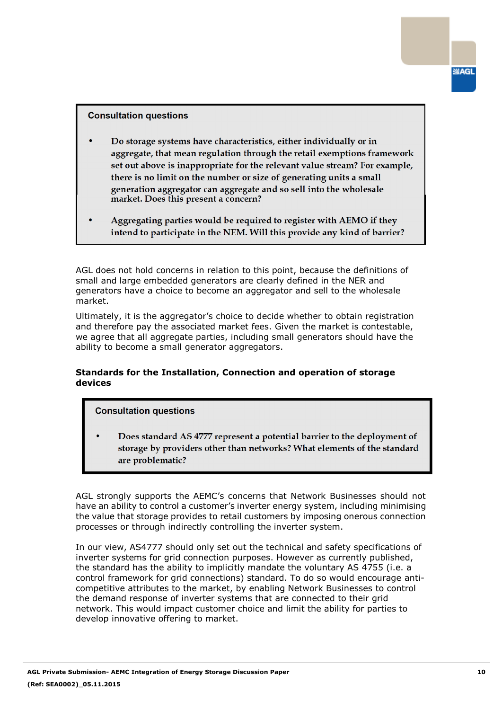#### **Consultation questions**

- Do storage systems have characteristics, either individually or in aggregate, that mean regulation through the retail exemptions framework set out above is inappropriate for the relevant value stream? For example, there is no limit on the number or size of generating units a small generation aggregator can aggregate and so sell into the wholesale market. Does this present a concern?
- Aggregating parties would be required to register with AEMO if they intend to participate in the NEM. Will this provide any kind of barrier?

AGL does not hold concerns in relation to this point, because the definitions of small and large embedded generators are clearly defined in the NER and generators have a choice to become an aggregator and sell to the wholesale market.

Ultimately, it is the aggregator's choice to decide whether to obtain registration and therefore pay the associated market fees. Given the market is contestable, we agree that all aggregate parties, including small generators should have the ability to become a small generator aggregators.

# **Standards for the Installation, Connection and operation of storage devices**

### **Consultation questions**

Does standard AS 4777 represent a potential barrier to the deployment of storage by providers other than networks? What elements of the standard are problematic?

AGL strongly supports the AEMC's concerns that Network Businesses should not have an ability to control a customer's inverter energy system, including minimising the value that storage provides to retail customers by imposing onerous connection processes or through indirectly controlling the inverter system.

In our view, AS4777 should only set out the technical and safety specifications of inverter systems for grid connection purposes. However as currently published, the standard has the ability to implicitly mandate the voluntary AS 4755 (i.e. a control framework for grid connections) standard. To do so would encourage anticompetitive attributes to the market, by enabling Network Businesses to control the demand response of inverter systems that are connected to their grid network. This would impact customer choice and limit the ability for parties to develop innovative offering to market.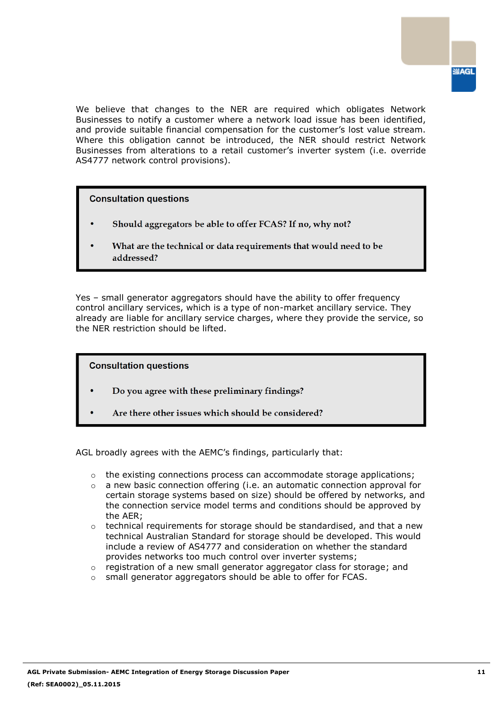

We believe that changes to the NER are required which obligates Network Businesses to notify a customer where a network load issue has been identified, and provide suitable financial compensation for the customer's lost value stream. Where this obligation cannot be introduced, the NER should restrict Network Businesses from alterations to a retail customer's inverter system (i.e. override AS4777 network control provisions).

**Consultation questions** 

- Should aggregators be able to offer FCAS? If no, why not?
- What are the technical or data requirements that would need to be addressed?

Yes – small generator aggregators should have the ability to offer frequency control ancillary services, which is a type of non-market ancillary service. They already are liable for ancillary service charges, where they provide the service, so the NER restriction should be lifted.

**Consultation questions** 

- Do you agree with these preliminary findings?
	- Are there other issues which should be considered?

AGL broadly agrees with the AEMC's findings, particularly that:

- $\circ$  the existing connections process can accommodate storage applications;
- $\circ$  a new basic connection offering (i.e. an automatic connection approval for certain storage systems based on size) should be offered by networks, and the connection service model terms and conditions should be approved by the AER;
- o technical requirements for storage should be standardised, and that a new technical Australian Standard for storage should be developed. This would include a review of AS4777 and consideration on whether the standard provides networks too much control over inverter systems;
- o registration of a new small generator aggregator class for storage; and
- o small generator aggregators should be able to offer for FCAS.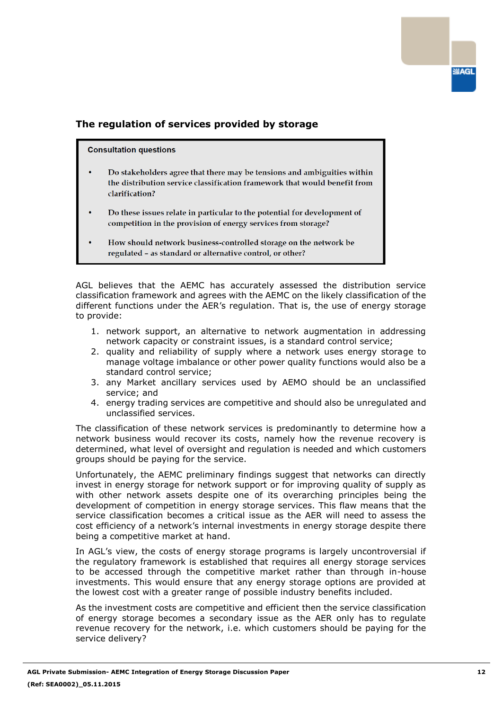# **The regulation of services provided by storage**

#### **Consultation questions**

- Do stakeholders agree that there may be tensions and ambiguities within the distribution service classification framework that would benefit from clarification?
- Do these issues relate in particular to the potential for development of competition in the provision of energy services from storage?
- How should network business-controlled storage on the network be regulated - as standard or alternative control, or other?

AGL believes that the AEMC has accurately assessed the distribution service classification framework and agrees with the AEMC on the likely classification of the different functions under the AER's regulation. That is, the use of energy storage to provide:

- 1. network support, an alternative to network augmentation in addressing network capacity or constraint issues, is a standard control service;
- 2. quality and reliability of supply where a network uses energy storage to manage voltage imbalance or other power quality functions would also be a standard control service;
- 3. any Market ancillary services used by AEMO should be an unclassified service; and
- 4. energy trading services are competitive and should also be unregulated and unclassified services.

The classification of these network services is predominantly to determine how a network business would recover its costs, namely how the revenue recovery is determined, what level of oversight and regulation is needed and which customers groups should be paying for the service.

Unfortunately, the AEMC preliminary findings suggest that networks can directly invest in energy storage for network support or for improving quality of supply as with other network assets despite one of its overarching principles being the development of competition in energy storage services. This flaw means that the service classification becomes a critical issue as the AER will need to assess the cost efficiency of a network's internal investments in energy storage despite there being a competitive market at hand.

In AGL's view, the costs of energy storage programs is largely uncontroversial if the regulatory framework is established that requires all energy storage services to be accessed through the competitive market rather than through in-house investments. This would ensure that any energy storage options are provided at the lowest cost with a greater range of possible industry benefits included.

As the investment costs are competitive and efficient then the service classification of energy storage becomes a secondary issue as the AER only has to regulate revenue recovery for the network, i.e. which customers should be paying for the service delivery?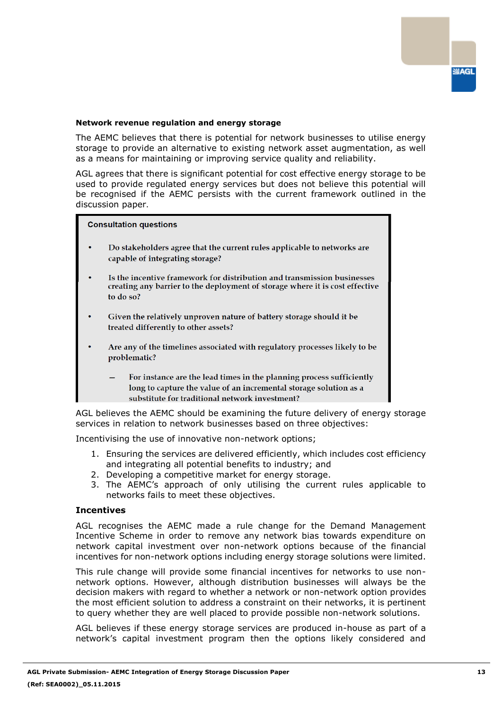#### **Network revenue regulation and energy storage**

The AEMC believes that there is potential for network businesses to utilise energy storage to provide an alternative to existing network asset augmentation, as well as a means for maintaining or improving service quality and reliability.

AGL agrees that there is significant potential for cost effective energy storage to be used to provide regulated energy services but does not believe this potential will be recognised if the AEMC persists with the current framework outlined in the discussion paper.

#### **Consultation questions**

- Do stakeholders agree that the current rules applicable to networks are capable of integrating storage?
- Is the incentive framework for distribution and transmission businesses creating any barrier to the deployment of storage where it is cost effective to do so?
- Given the relatively unproven nature of battery storage should it be treated differently to other assets?
- Are any of the timelines associated with regulatory processes likely to be problematic?
	- For instance are the lead times in the planning process sufficiently long to capture the value of an incremental storage solution as a substitute for traditional network investment?

AGL believes the AEMC should be examining the future delivery of energy storage services in relation to network businesses based on three objectives:

Incentivising the use of innovative non-network options;

- 1. Ensuring the services are delivered efficiently, which includes cost efficiency and integrating all potential benefits to industry; and
- 2. Developing a competitive market for energy storage.
- 3. The AEMC's approach of only utilising the current rules applicable to networks fails to meet these objectives.

#### **Incentives**

AGL recognises the AEMC made a rule change for the Demand Management Incentive Scheme in order to remove any network bias towards expenditure on network capital investment over non-network options because of the financial incentives for non-network options including energy storage solutions were limited.

This rule change will provide some financial incentives for networks to use nonnetwork options. However, although distribution businesses will always be the decision makers with regard to whether a network or non-network option provides the most efficient solution to address a constraint on their networks, it is pertinent to query whether they are well placed to provide possible non-network solutions.

AGL believes if these energy storage services are produced in-house as part of a network's capital investment program then the options likely considered and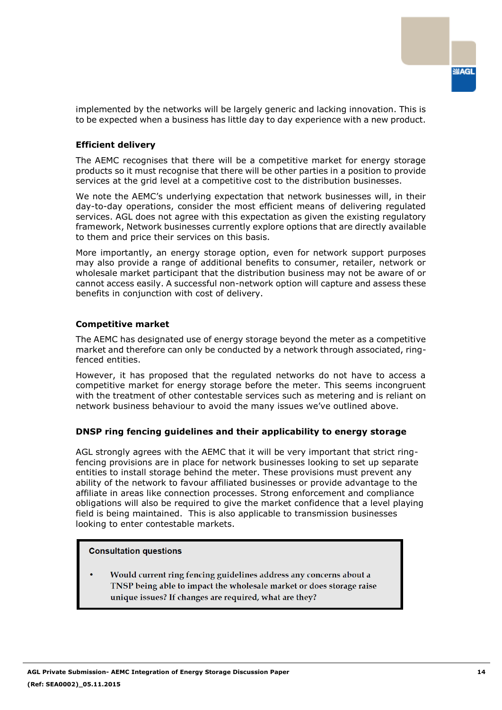implemented by the networks will be largely generic and lacking innovation. This is to be expected when a business has little day to day experience with a new product.

### **Efficient delivery**

The AEMC recognises that there will be a competitive market for energy storage products so it must recognise that there will be other parties in a position to provide services at the grid level at a competitive cost to the distribution businesses.

We note the AEMC's underlying expectation that network businesses will, in their day-to-day operations, consider the most efficient means of delivering regulated services. AGL does not agree with this expectation as given the existing regulatory framework, Network businesses currently explore options that are directly available to them and price their services on this basis.

More importantly, an energy storage option, even for network support purposes may also provide a range of additional benefits to consumer, retailer, network or wholesale market participant that the distribution business may not be aware of or cannot access easily. A successful non-network option will capture and assess these benefits in conjunction with cost of delivery.

### **Competitive market**

The AEMC has designated use of energy storage beyond the meter as a competitive market and therefore can only be conducted by a network through associated, ringfenced entities.

However, it has proposed that the regulated networks do not have to access a competitive market for energy storage before the meter. This seems incongruent with the treatment of other contestable services such as metering and is reliant on network business behaviour to avoid the many issues we've outlined above.

### **DNSP ring fencing guidelines and their applicability to energy storage**

AGL strongly agrees with the AEMC that it will be very important that strict ringfencing provisions are in place for network businesses looking to set up separate entities to install storage behind the meter. These provisions must prevent any ability of the network to favour affiliated businesses or provide advantage to the affiliate in areas like connection processes. Strong enforcement and compliance obligations will also be required to give the market confidence that a level playing field is being maintained. This is also applicable to transmission businesses looking to enter contestable markets.

#### **Consultation questions**

Would current ring fencing guidelines address any concerns about a TNSP being able to impact the wholesale market or does storage raise unique issues? If changes are required, what are they?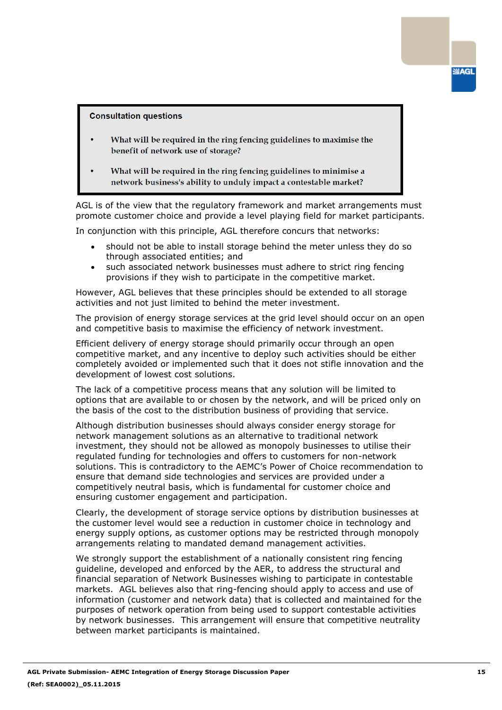#### **Consultation questions**

- What will be required in the ring fencing guidelines to maximise the benefit of network use of storage?
- What will be required in the ring fencing guidelines to minimise a network business's ability to unduly impact a contestable market?

AGL is of the view that the regulatory framework and market arrangements must promote customer choice and provide a level playing field for market participants.

In conjunction with this principle, AGL therefore concurs that networks:

- should not be able to install storage behind the meter unless they do so through associated entities; and
- such associated network businesses must adhere to strict ring fencing provisions if they wish to participate in the competitive market.

However, AGL believes that these principles should be extended to all storage activities and not just limited to behind the meter investment.

The provision of energy storage services at the grid level should occur on an open and competitive basis to maximise the efficiency of network investment.

Efficient delivery of energy storage should primarily occur through an open competitive market, and any incentive to deploy such activities should be either completely avoided or implemented such that it does not stifle innovation and the development of lowest cost solutions.

The lack of a competitive process means that any solution will be limited to options that are available to or chosen by the network, and will be priced only on the basis of the cost to the distribution business of providing that service.

Although distribution businesses should always consider energy storage for network management solutions as an alternative to traditional network investment, they should not be allowed as monopoly businesses to utilise their regulated funding for technologies and offers to customers for non-network solutions. This is contradictory to the AEMC's Power of Choice recommendation to ensure that demand side technologies and services are provided under a competitively neutral basis, which is fundamental for customer choice and ensuring customer engagement and participation.

Clearly, the development of storage service options by distribution businesses at the customer level would see a reduction in customer choice in technology and energy supply options, as customer options may be restricted through monopoly arrangements relating to mandated demand management activities.

We strongly support the establishment of a nationally consistent ring fencing guideline, developed and enforced by the AER, to address the structural and financial separation of Network Businesses wishing to participate in contestable markets. AGL believes also that ring-fencing should apply to access and use of information (customer and network data) that is collected and maintained for the purposes of network operation from being used to support contestable activities by network businesses. This arrangement will ensure that competitive neutrality between market participants is maintained.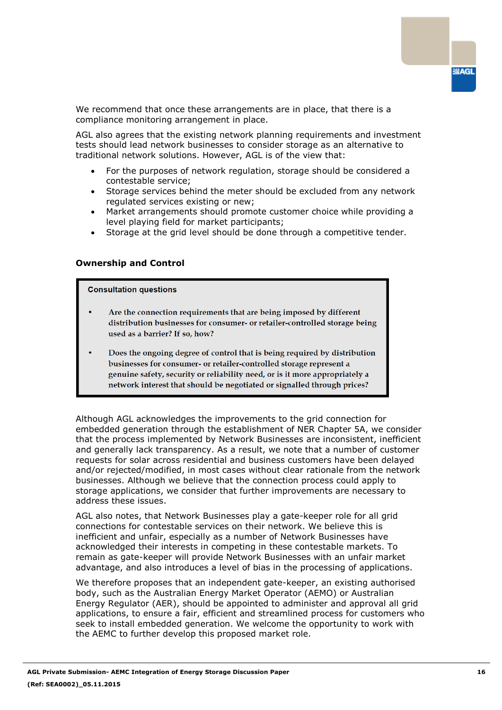We recommend that once these arrangements are in place, that there is a compliance monitoring arrangement in place.

AGL also agrees that the existing network planning requirements and investment tests should lead network businesses to consider storage as an alternative to traditional network solutions. However, AGL is of the view that:

- For the purposes of network regulation, storage should be considered a contestable service;
- Storage services behind the meter should be excluded from any network regulated services existing or new;
- Market arrangements should promote customer choice while providing a level playing field for market participants;
- Storage at the grid level should be done through a competitive tender.

### **Ownership and Control**

#### **Consultation questions**

- Are the connection requirements that are being imposed by different distribution businesses for consumer- or retailer-controlled storage being used as a barrier? If so, how?
- Does the ongoing degree of control that is being required by distribution businesses for consumer- or retailer-controlled storage represent a genuine safety, security or reliability need, or is it more appropriately a network interest that should be negotiated or signalled through prices?

Although AGL acknowledges the improvements to the grid connection for embedded generation through the establishment of NER Chapter 5A, we consider that the process implemented by Network Businesses are inconsistent, inefficient and generally lack transparency. As a result, we note that a number of customer requests for solar across residential and business customers have been delayed and/or rejected/modified, in most cases without clear rationale from the network businesses. Although we believe that the connection process could apply to storage applications, we consider that further improvements are necessary to address these issues.

AGL also notes, that Network Businesses play a gate-keeper role for all grid connections for contestable services on their network. We believe this is inefficient and unfair, especially as a number of Network Businesses have acknowledged their interests in competing in these contestable markets. To remain as gate-keeper will provide Network Businesses with an unfair market advantage, and also introduces a level of bias in the processing of applications.

We therefore proposes that an independent gate-keeper, an existing authorised body, such as the Australian Energy Market Operator (AEMO) or Australian Energy Regulator (AER), should be appointed to administer and approval all grid applications, to ensure a fair, efficient and streamlined process for customers who seek to install embedded generation. We welcome the opportunity to work with the AEMC to further develop this proposed market role.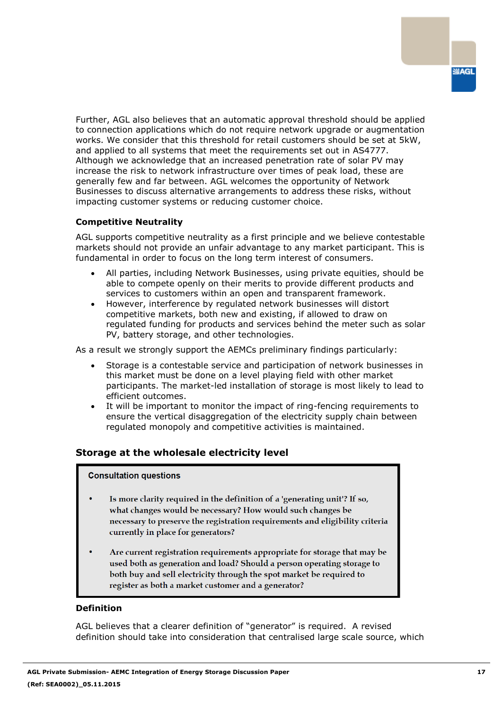Further, AGL also believes that an automatic approval threshold should be applied to connection applications which do not require network upgrade or augmentation works. We consider that this threshold for retail customers should be set at 5kW, and applied to all systems that meet the requirements set out in AS4777. Although we acknowledge that an increased penetration rate of solar PV may increase the risk to network infrastructure over times of peak load, these are generally few and far between. AGL welcomes the opportunity of Network Businesses to discuss alternative arrangements to address these risks, without impacting customer systems or reducing customer choice.

# **Competitive Neutrality**

AGL supports competitive neutrality as a first principle and we believe contestable markets should not provide an unfair advantage to any market participant. This is fundamental in order to focus on the long term interest of consumers.

- All parties, including Network Businesses, using private equities, should be able to compete openly on their merits to provide different products and services to customers within an open and transparent framework.
- However, interference by regulated network businesses will distort competitive markets, both new and existing, if allowed to draw on regulated funding for products and services behind the meter such as solar PV, battery storage, and other technologies.

As a result we strongly support the AEMCs preliminary findings particularly:

- Storage is a contestable service and participation of network businesses in this market must be done on a level playing field with other market participants. The market-led installation of storage is most likely to lead to efficient outcomes.
- It will be important to monitor the impact of ring-fencing requirements to ensure the vertical disaggregation of the electricity supply chain between regulated monopoly and competitive activities is maintained.

# **Storage at the wholesale electricity level**

### **Consultation questions**

- Is more clarity required in the definition of a 'generating unit'? If so, what changes would be necessary? How would such changes be necessary to preserve the registration requirements and eligibility criteria currently in place for generators?
- Are current registration requirements appropriate for storage that may be used both as generation and load? Should a person operating storage to both buy and sell electricity through the spot market be required to register as both a market customer and a generator?

#### **Definition**

AGL believes that a clearer definition of "generator" is required. A revised definition should take into consideration that centralised large scale source, which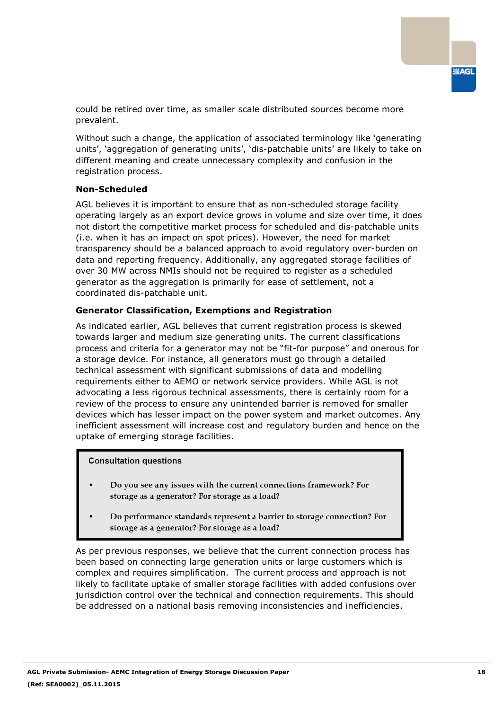

could be retired over time, as smaller scale distributed sources become more prevalent.

Without such a change, the application of associated terminology like 'generating units', 'aggregation of generating units', 'dis-patchable units' are likely to take on different meaning and create unnecessary complexity and confusion in the registration process.

#### **Non-Scheduled**

AGL believes it is important to ensure that as non-scheduled storage facility operating largely as an export device grows in volume and size over time, it does not distort the competitive market process for scheduled and dis-patchable units (i.e. when it has an impact on spot prices). However, the need for market transparency should be a balanced approach to avoid regulatory over-burden on data and reporting frequency. Additionally, any aggregated storage facilities of over 30 MW across NMIs should not be required to register as a scheduled generator as the aggregation is primarily for ease of settlement, not a coordinated dis-patchable unit.

### **Generator Classification, Exemptions and Registration**

As indicated earlier, AGL believes that current registration process is skewed towards larger and medium size generating units. The current classifications process and criteria for a generator may not be "fit-for purpose" and onerous for a storage device. For instance, all generators must go through a detailed technical assessment with significant submissions of data and modelling requirements either to AEMO or network service providers. While AGL is not advocating a less rigorous technical assessments, there is certainly room for a review of the process to ensure any unintended barrier is removed for smaller devices which has lesser impact on the power system and market outcomes. Any inefficient assessment will increase cost and regulatory burden and hence on the uptake of emerging storage facilities.

#### **Consultation questions**

- Do you see any issues with the current connections framework? For storage as a generator? For storage as a load?
- Do performance standards represent a barrier to storage connection? For storage as a generator? For storage as a load?

As per previous responses, we believe that the current connection process has been based on connecting large generation units or large customers which is complex and requires simplification. The current process and approach is not likely to facilitate uptake of smaller storage facilities with added confusions over jurisdiction control over the technical and connection requirements. This should be addressed on a national basis removing inconsistencies and inefficiencies.